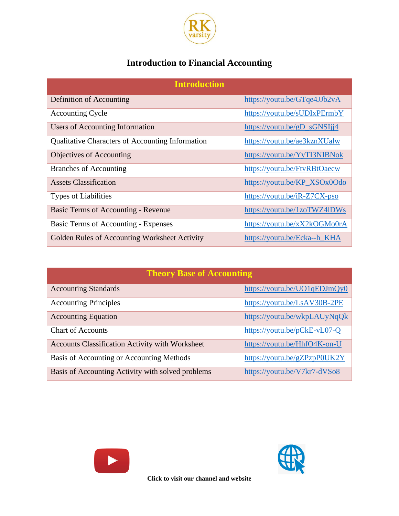

## **Introduction to Financial Accounting**

| <b>Introduction</b>                                     |                                                                     |
|---------------------------------------------------------|---------------------------------------------------------------------|
| Definition of Accounting                                | https://youtu.be/GTqe4JJb2vA                                        |
| <b>Accounting Cycle</b>                                 | https://youtu.be/sUDIxPErmbY                                        |
| <b>Users of Accounting Information</b>                  | $\frac{https://youtu.be/gD_SGNS1j14}{https://youtu.be/gD_SGNS1j14}$ |
| <b>Qualitative Characters of Accounting Information</b> | https://youtu.be/ae3kznXUalw                                        |
| Objectives of Accounting                                | https://youtu.be/YyTI3NIBNok                                        |
| <b>Branches of Accounting</b>                           | https://youtu.be/FtvRBtOaecw                                        |
| <b>Assets Classification</b>                            | https://youtu.be/KP_XSOx0Odo                                        |
| <b>Types of Liabilities</b>                             | https://youtu.be/iR-Z7CX-pso                                        |
| Basic Terms of Accounting - Revenue                     | https://youtu.be/1zoTWZ4lDWs                                        |
| Basic Terms of Accounting - Expenses                    | https://youtu.be/xX2kOGMo0rA                                        |
| Golden Rules of Accounting Worksheet Activity           | https://youtu.be/Ecka--h_KHA                                        |

| <b>Theory Base of Accounting</b>                       |                              |  |
|--------------------------------------------------------|------------------------------|--|
| <b>Accounting Standards</b>                            | https://youtu.be/UO1qEDJmQy0 |  |
| <b>Accounting Principles</b>                           | https://youtu.be/LsAV30B-2PE |  |
| <b>Accounting Equation</b>                             | https://youtu.be/wkpLAUyNqQk |  |
| <b>Chart of Accounts</b>                               | https://youtu.be/pCkE-vL07-Q |  |
| <b>Accounts Classification Activity with Worksheet</b> | https://youtu.be/HhfO4K-on-U |  |
| Basis of Accounting or Accounting Methods              | https://youtu.be/gZPzpP0UK2Y |  |
| Basis of Accounting Activity with solved problems      | https://youtu.be/V7kr7-dVSo8 |  |





**Click to visit our channel and website**